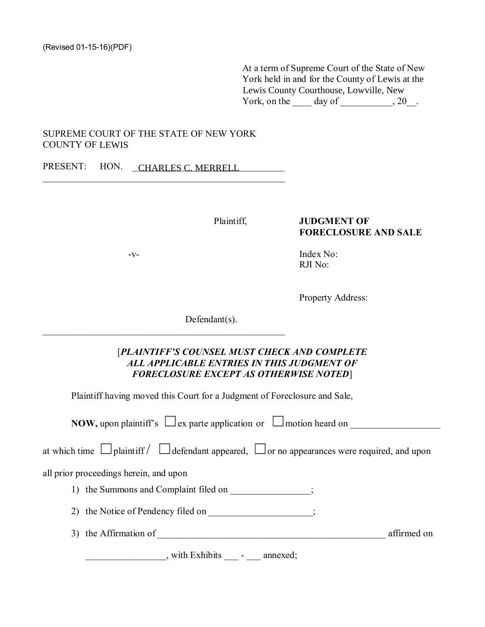At a term of Supreme Court of the State of New York held in and for the County of Lewis at the Lewis County Courthouse, Lowville, New York, on the  $\qquad$  day of  $\qquad$ , 20

## SUPREME COURT OF THE STATE OF NEW YORK **COUNTY OF LEWIS**

PRESENT: HON. CHARLES C. MERRELL

Plaintiff,

### **JUDGMENT OF FORECLOSURE AND SALE**

 $-V$ -

Index No: RJI No:

Property Address:

 $Defendant(s)$ .

# [PLAINTIFF'S COUNSEL MUST CHECK AND COMPLETE ALL APPLICABLE ENTRIES IN THIS JUDGMENT OF **FORECLOSURE EXCEPT AS OTHERWISE NOTED]**

Plaintiff having moved this Court for a Judgment of Foreclosure and Sale,

**NOW,** upon plaintiff's  $\Box$  ex parte application or  $\Box$  motion heard on

|  | at which time $\Box$ plaint iff $\Box$ defendant appeared, $\Box$ or no appearances were required, and upon |  |  |
|--|-------------------------------------------------------------------------------------------------------------|--|--|
|  |                                                                                                             |  |  |

all prior proceedings herein, and upon

- 1) the Summons and Complaint filed on ;
- 2) the Notice of Pendency filed on \_\_\_\_\_\_\_\_\_\_\_\_\_\_\_\_\_\_\_;
- 3) the Affirmation of affirmed on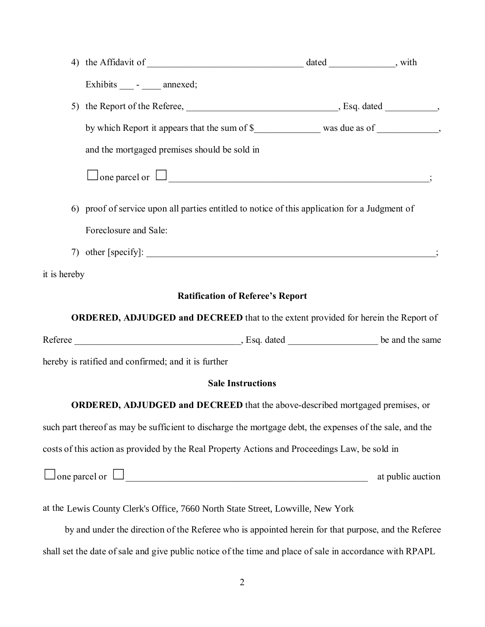|                                                                                           | Exhibits ____ - ____ annexed;                                                                            |  |                   |  |  |  |  |
|-------------------------------------------------------------------------------------------|----------------------------------------------------------------------------------------------------------|--|-------------------|--|--|--|--|
|                                                                                           |                                                                                                          |  |                   |  |  |  |  |
|                                                                                           |                                                                                                          |  |                   |  |  |  |  |
|                                                                                           | and the mortgaged premises should be sold in                                                             |  |                   |  |  |  |  |
|                                                                                           | $\Box$ one parcel or $\Box$                                                                              |  |                   |  |  |  |  |
|                                                                                           | 6) proof of service upon all parties entitled to notice of this application for a Judgment of            |  |                   |  |  |  |  |
|                                                                                           | Foreclosure and Sale:                                                                                    |  |                   |  |  |  |  |
|                                                                                           |                                                                                                          |  |                   |  |  |  |  |
| it is hereby                                                                              |                                                                                                          |  |                   |  |  |  |  |
| <b>Ratification of Referee's Report</b>                                                   |                                                                                                          |  |                   |  |  |  |  |
| <b>ORDERED, ADJUDGED and DECREED</b> that to the extent provided for herein the Report of |                                                                                                          |  |                   |  |  |  |  |
|                                                                                           |                                                                                                          |  |                   |  |  |  |  |
|                                                                                           | hereby is ratified and confirmed; and it is further                                                      |  |                   |  |  |  |  |
|                                                                                           | <b>Sale Instructions</b>                                                                                 |  |                   |  |  |  |  |
|                                                                                           | ORDERED, ADJUDGED and DECREED that the above-described mortgaged premises, or                            |  |                   |  |  |  |  |
|                                                                                           | such part thereof as may be sufficient to discharge the mortgage debt, the expenses of the sale, and the |  |                   |  |  |  |  |
|                                                                                           | costs of this action as provided by the Real Property Actions and Proceedings Law, be sold in            |  |                   |  |  |  |  |
|                                                                                           | $\Box$ one parcel or $\Box$                                                                              |  | at public auction |  |  |  |  |
|                                                                                           | at the Lewis County Clerk's Office, 7660 North State Street, Lowville, New York                          |  |                   |  |  |  |  |
|                                                                                           | by and under the direction of the Referee who is appointed herein for that purpose, and the Referee      |  |                   |  |  |  |  |

shall set the date of sale and give public notice of the time and place of sale in accordance with RPAPL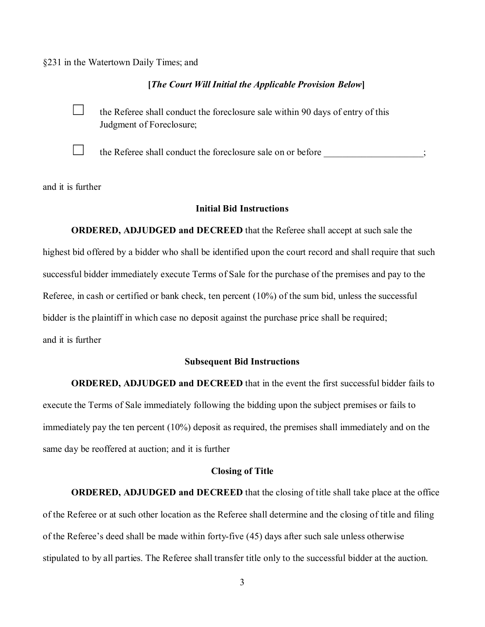§231 in the Watertown Daily Times; and

## [The Court Will Initial the Applicable Provision Below]

 $\Box$  the Referee shall conduct the foreclosure sale within 90 days of entry of this Judgment of Foreclosure;



 $\Box$  the Referee shall conduct the foreclosure sale on or before

and it is further

# **Initial Bid Instructions**

**ORDERED, ADJUDGED and DECREED** that the Referee shall accept at such sale the highest bid offered by a bidder who shall be identified upon the court record and shall require that such successful bidder immediately execute Terms of Sale for the purchase of the premises and pay to the Referee, in cash or certified or bank check, ten percent  $(10\%)$  of the sum bid, unless the successful bidder is the plaintiff in which case no deposit against the purchase price shall be required; and it is further

## **Subsequent Bid Instructions**

ORDERED, ADJUDGED and DECREED that in the event the first successful bidder fails to execute the Terms of Sale immediately following the bidding upon the subject premises or fails to immediately pay the ten percent  $(10\%)$  deposit as required, the premises shall immediately and on the same day be reoffered at auction; and it is further

## **Closing of Title**

**ORDERED, ADJUDGED and DECREED** that the closing of title shall take place at the office of the Referee or at such other location as the Referee shall determine and the closing of title and filing of the Referee's deed shall be made within forty-five  $(45)$  days after such sale unless otherwise stipulated to by all parties. The Referee shall transfer title only to the successful bidder at the auction.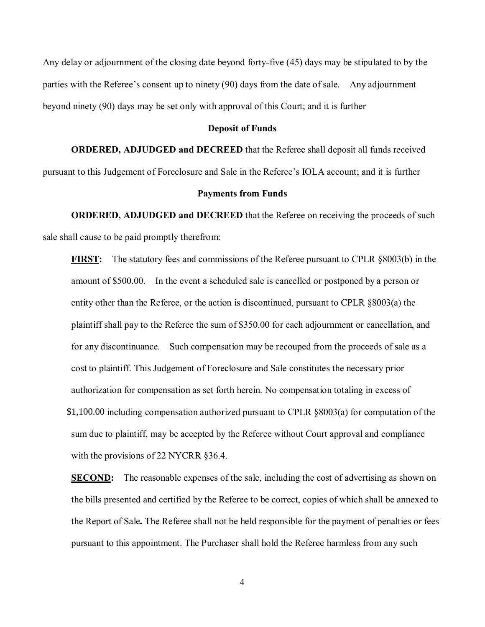Any delay or adjournment of the closing date beyond forty-five (45) days may be stipulated to by the parties with the Referee's consent up to ninety  $(90)$  days from the date of sale. Any adjournment beyond ninety (90) days may be set only with approval of this Court; and it is further

## Deposit of Funds

**ORDERED, ADJUDGED and DECREED** that the Referee shall deposit all funds received

pursuant to this Judgement of Foreclosure and Sale in the Referee's IOLA account; and it is further

## Payments from Funds

**ORDERED, ADJUDGED and DECREED** that the Referee on receiving the proceeds of such sale shall cause to be paid promptly therefrom:

**FIRST:** The statutory fees and commissions of the Referee pursuant to CPLR  $§8003(b)$  in the amount of \$500.00. In the event a scheduled sale is cancelled or postponed by a person or entity other than the Referee, or the action is discontinued, pursuant to CPLR §8003(a) the plaintiff shall pay to the Referee the sum of \$350.00 for each adjournment or cancellation, and for any discontinuance. Such compensation may be recouped from the proceeds of sale as a cost to plaintiff. This Judgement of Foreclosure and Sale constitutes the necessary prior authorization for compensation as set forth herein. No compensation totaling in excess of \$1,100.00 including compensation authorized pursuant to CPLR §8003(a) for computation of the sum due to plaintiff, may be accepted by the Referee without Court approval and compliance with the provisions of 22 NYCRR  $§$ 36.4.

**SECOND:** The reasonable expenses of the sale, including the cost of advertising as shown on the bills presented and certified by the Referee to be correct, copies of which shall be annexed to the Report of Sale. The Referee shall not be held responsible for the payment of penalties or fees pursuant to this appointment. The Purchaser shall hold the Referee harmless from any such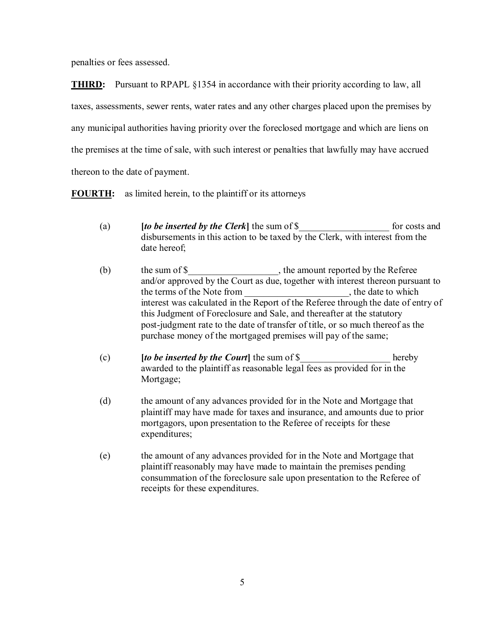penalties or fees assessed.

**THIRD:** Pursuant to RPAPL §1354 in accordance with their priority according to law, all taxes, assessments, sewer rents, water rates and any other charges placed upon the premises by any municipal authorities having priority over the foreclosed mortgage and which are liens on

the premises at the time of sale, with such interest or penalties that lawfully may have accrued

thereon to the date of payment.

**FOURTH:** as limited herein, to the plaintiff or its attorneys

- [to be inserted by the Clerk] the sum of \$ for costs and  $(a)$ disbursements in this action to be taxed by the Clerk, with interest from the date hereof;
- $(b)$ the terms of the Note from the date to which interest was calculated in the Report of the Referee through the date of entry of this Judgment of Foreclosure and Sale, and thereafter at the statutory post-judgment rate to the date of transfer of title, or so much thereof as the purchase money of the mortgaged premises will pay of the same;
- *(to be inserted by the Court)* the sum of \$  $(c)$ hereby awarded to the plaintiff as reasonable legal fees as provided for in the Mortgage;
- $(d)$ the amount of any advances provided for in the Note and Mortgage that plaintiff may have made for taxes and insurance, and amounts due to prior mortgagors, upon presentation to the Referee of receipts for these expenditures;
- $(e)$ the amount of any advances provided for in the Note and Mortgage that plaint iff reasonably may have made to maintain the premises pending consummation of the foreclosure sale upon presentation to the Referee of receipts for these expenditures.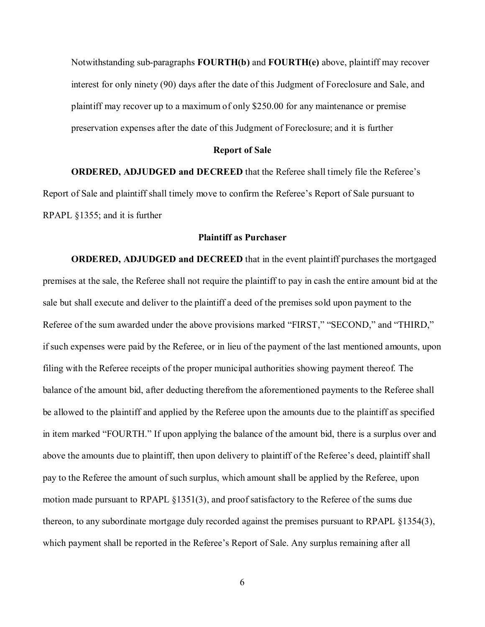Notwithstanding sub-paragraphs  $FOURTH(b)$  and  $FOURTH(e)$  above, plaintiff may recover interest for only ninety (90) days after the date of this Judgment of Foreclosure and Sale, and plaintiff may recover up to a maximum of only \$250.00 for any maintenance or premise preservation expenses after the date of this Judgment of Foreclosure; and it is further

### **Report of Sale**

**ORDERED, ADJUDGED and DECREED** that the Referee shall timely file the Referee's Report of Sale and plaintiff shall timely move to confirm the Referee's Report of Sale pursuant to RPAPL  $§1355$ ; and it is further

## Plaintiff as Purchaser

**ORDERED, ADJUDGED and DECREED** that in the event plaintiff purchases the mortgaged premises at the sale, the Referee shall not require the plaintiff to pay in cash the entire amount bid at the sale but shall execute and deliver to the plaintiff a deed of the premises sold upon payment to the Referee of the sum awarded under the above provisions marked "FIRST," "SECOND," and "THIRD," if such expenses were paid by the Referee, or in lieu of the payment of the last mentioned amounts, upon filing with the Referee receipts of the proper municipal authorities showing payment thereof. The balance of the amount bid, after deducting therefrom the aforementioned payments to the Referee shall be allowed to the plaintiff and applied by the Referee upon the amounts due to the plaintiff as specified in item marked "FOURTH." If upon applying the balance of the amount bid, there is a surplus over and above the amounts due to plaintiff, then upon delivery to plaintiff of the Referee's deed, plaintiff shall pay to the Referee the amount of such surplus, which amount shall be applied by the Referee, upon motion made pursuant to RPAPL  $\S 1351(3)$ , and proof satisfactory to the Referee of the sums due thereon, to any subordinate mortgage duly recorded against the premises pursuant to RPAPL §1354(3), which payment shall be reported in the Referee's Report of Sale. Any surplus remaining after all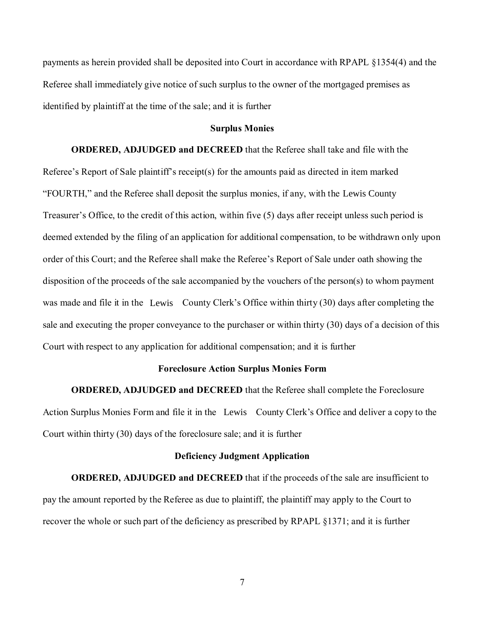payments as herein provided shall be deposited into Court in accordance with RPAPL §1354(4) and the Referee shall immediately give notice of such surplus to the owner of the mortgaged premises as identified by plaintiff at the time of the sale; and it is further

## **Surplus Monies**

**ORDERED, ADJUDGED and DECREED** that the Referee shall take and file with the Referee's Report of Sale plaintiff's receipt(s) for the amounts paid as directed in item marked "FOURTH," and the Referee shall deposit the surplus monies, if any, with the Lewis County Treasurer's Office, to the credit of this action, within five  $(5)$  days after receipt unless such period is deemed extended by the filing of an application for additional compensation, to be withdrawn only upon order of this Court; and the Referee shall make the Referee's Report of Sale under oath showing the disposition of the proceeds of the sale accompanied by the vouchers of the person(s) to whom payment was made and file it in the Lewis County Clerk's Office within thirty  $(30)$  days after completing the sale and executing the proper conveyance to the purchaser or within thirty (30) days of a decision of this Court with respect to any application for additional compensation; and it is further ee shall deposit the surplus monies, if any, with the Lewis County<br>redit of this action, within five (5) days after receipt unless such po<br>ing of an application for additional compensation, to be withdrawn<br>Referee shall ma

#### Foreclosure Action Surplus Monies Form

ORDERED, ADJUDGED and DECREED that the Referee shall complete the Foreclosure Action Surplus Monies Form and file it in the Lewis County Clerk's Office and deliver a copy to the Court within thirty  $(30)$  days of the foreclosure sale; and it is further

#### Deficiency Judgment Application

**ORDERED, ADJUDGED and DECREED** that if the proceeds of the sale are insufficient to pay the amount reported by the Referee as due to plaintiff, the plaintiff may apply to the Court to recover the whole or such part of the deficiency as prescribed by RPAPL §1371; and it is further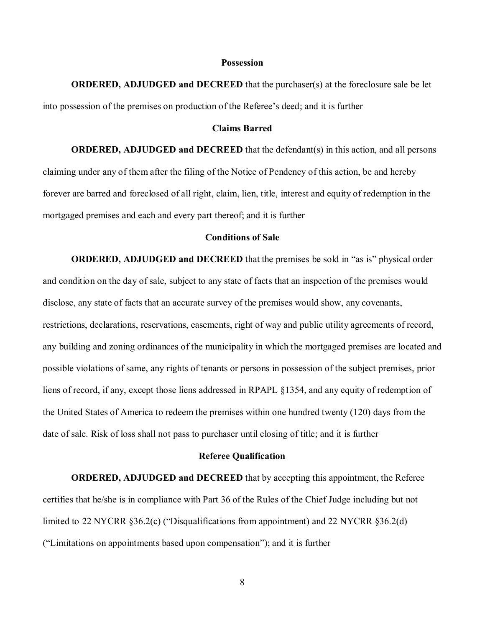#### **Possession**

**ORDERED, ADJUDGED and DECREED** that the purchaser(s) at the foreclosure sale be let into possession of the premises on production of the Referee's deed; and it is further

#### **Claims Barred**

**ORDERED, ADJUDGED and DECREED** that the defendant(s) in this action, and all persons claiming under any of them after the filing of the Notice of Pendency of this action, be and hereby forever are barred and foreclosed of all right, claim, lien, title, interest and equity of redemption in the mortgaged premises and each and every part thereof; and it is further

#### **Conditions of Sale**

**ORDERED, ADJUDGED and DECREED** that the premises be sold in "as is" physical order and condition on the day of sale, subject to any state of facts that an inspection of the premises would disclose, any state of facts that an accurate survey of the premises would show, any covenants, restrictions, declarations, reservations, easements, right of way and public utility agreements of record, any building and zoning ordinances of the municipality in which the mortgaged premises are located and possible violations of same, any rights of tenants or persons in possession of the subject premises, prior liens of record, if any, except those liens addressed in RPAPL §1354, and any equity of redemption of the United States of America to redeem the premises within one hundred twenty (120) days from the date of sale. Risk of loss shall not pass to purchaser until closing of title; and it is further

#### **Referee Qualification**

**ORDERED, ADJUDGED and DECREED** that by accepting this appointment, the Referee certifies that he/she is in compliance with Part 36 of the Rules of the Chief Judge including but not limited to 22 NYCRR  $\S 36.2(c)$  ("Disqualifications from appointment) and 22 NYCRR  $\S 36.2(d)$ ("Limitations on appointments based upon compensation"); and it is further

 $8\,$